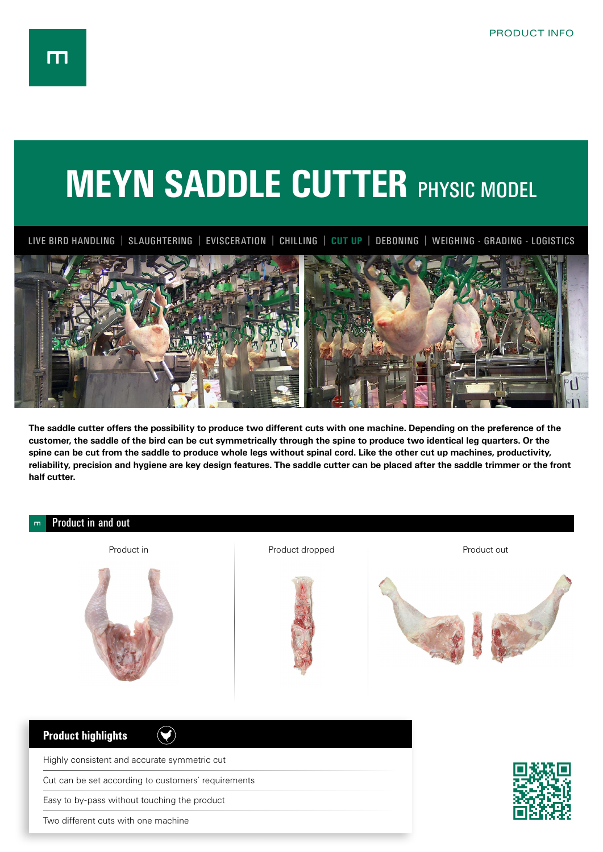## **MEYN SADDLE CUTTER PHYSIC MODEL**

LIVE BIRD HANDLING | SLAUGHTERING | EVISCERATION | CHILLING | **CUT UP** | DEBONING | WEIGHING - GRADING - LOGISTICS



**The saddle cutter offers the possibility to produce two different cuts with one machine. Depending on the preference of the customer, the saddle of the bird can be cut symmetrically through the spine to produce two identical leg quarters. Or the spine can be cut from the saddle to produce whole legs without spinal cord. Like the other cut up machines, productivity, reliability, precision and hygiene are key design features. The saddle cutter can be placed after the saddle trimmer or the front half cutter.**



Two different cuts with one machine